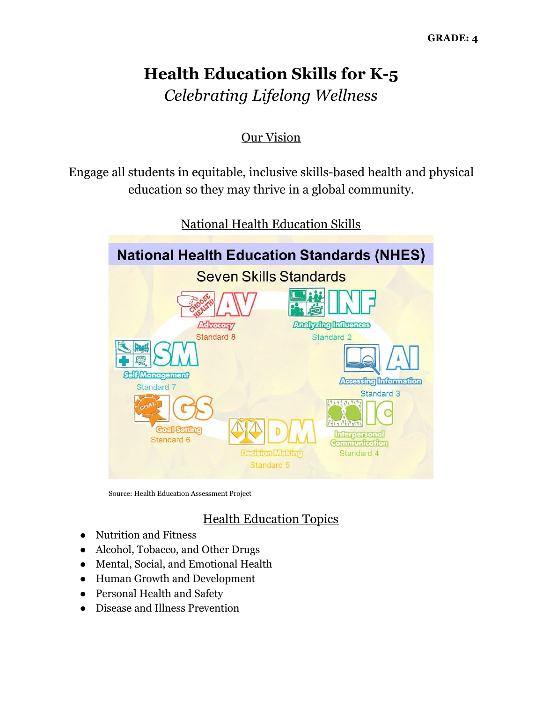# **Health Education Skills for K-5** *Celebrating Lifelong Wellness*

## Our Vision

Engage all students in equitable, inclusive skills-based health and physical education so they may thrive in a global community.



National Health Education Skills

Source: Health Education Assessment Project

# Health Education Topics

- Nutrition and Fitness
- Alcohol, Tobacco, and Other Drugs
- Mental, Social, and Emotional Health
- Human Growth and Development
- Personal Health and Safety
- Disease and Illness Prevention